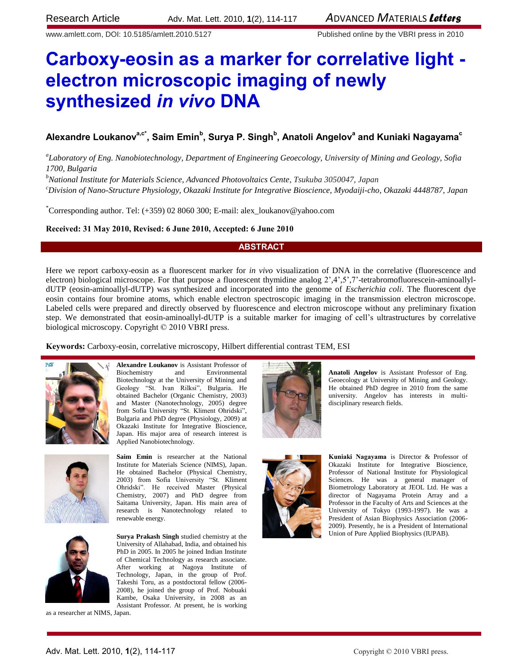www.amlett.com, DOI: 10.5185/amlett.2010.5127 Published online by the VBRI press in 2010

# **Carboxy-eosin as a marker for correlative light electron microscopic imaging of newly synthesized** *in vivo* **DNA**

# **Alexandre Loukanova,c\* , Saim Emin<sup>b</sup> , Surya P. Singh<sup>b</sup> , Anatoli Angelov<sup>a</sup> and Kuniaki Nagayama<sup>c</sup>**

*a Laboratory of Eng. Nanobiotechnology, Department of Engineering Geoecology, University of Mining and Geology, Sofia 1700, Bulgaria*

*<sup>b</sup>National Institute for Materials Science, Advanced Photovoltaics Cente*, *Tsukuba 3050047, Japan*

*<sup>c</sup>Division of Nano-Structure Physiology, Okazaki Institute for Integrative Bioscience, Myodaiji-cho, Okazaki 4448787, Japan*

\*Corresponding author. Tel: (+359) 02 8060 300; E-mail: alex\_loukanov@yahoo.com

### **Received: 31 May 2010, Revised: 6 June 2010, Accepted: 6 June 2010**

### **ABSTRACT**

Here we report carboxy-eosin as a fluorescent marker for *in vivo* visualization of DNA in the correlative (fluorescence and electron) biological microscope. For that purpose a fluorescent thymidine analog  $2^2,4^2,5^2,7^2$ -tetrabromofluorescein-aminoallyldUTP (eosin-aminoallyl-dUTP) was synthesized and incorporated into the genome of *Escherichia coli*. The fluorescent dye eosin contains four bromine atoms, which enable electron spectroscopic imaging in the transmission electron microscope. Labeled cells were prepared and directly observed by fluorescence and electron microscope without any preliminary fixation step. We demonstrated that eosin-aminoallyl-dUTP is a suitable marker for imaging of cell's ultrastructures by correlative biological microscopy. Copyright © 2010 VBRI press.

**Keywords:** Carboxy-eosin, correlative microscopy, Hilbert differential contrast TEM, ESI



**Alexandre Loukanov** is Assistant Professor of Biochemistry and Environmental Environmental Biotechnology at the University of Mining and Geology "St. Ivan Rilksi", Bulgaria. He obtained Bachelor (Organic Chemistry, 2003) and Master (Nanotechnology, 2005) degree from Sofia University "St. Kliment Ohridski", Bulgaria and PhD degree (Physiology, 2009) at Okazaki Institute for Integrative Bioscience, Japan. His major area of research interest is Applied Nanobiotechnology.



**Saim Emin** is researcher at the National Institute for Materials Science (NIMS), Japan. He obtained Bachelor (Physical Chemistry, 2003) from Sofia University "St. Kliment Ohridski". He received Master (Physical Chemistry, 2007) and PhD degree from Saitama University, Japan. His main area of research is Nanotechnology related to renewable energy.



**Surya Prakash Singh** studied chemistry at the University of Allahabad, India, and obtained his PhD in 2005. In 2005 he joined Indian Institute of Chemical Technology as research associate. After working at Nagoya Institute of Technology, Japan, in the group of Prof. Takeshi Toru, as a postdoctoral fellow (2006- 2008), he joined the group of Prof. Nobuaki Kambe, Osaka University, in 2008 as an Assistant Professor. At present, he is working

as a researcher at NIMS, Japan.



**Anatoli Angelov** is Assistant Professor of Eng. Geoecology at University of Mining and Geology. He obtained PhD degree in 2010 from the same university. Angelov has interests in multidisciplinary research fields.



**Kuniaki Nagayama** is Director & Professor of Okazaki Institute for Integrative Bioscience, Professor of National Institute for Physiological Sciences. He was a general manager of Biometrology Laboratory at JEOL Ltd. He was a director of Nagayama Protein Array and a Professor in the Faculty of Arts and Sciences at the University of Tokyo (1993-1997). He was a President of Asian Biophysics Association (2006- 2009). Presently, he is a President of International Union of Pure Applied Biophysics (IUPAB).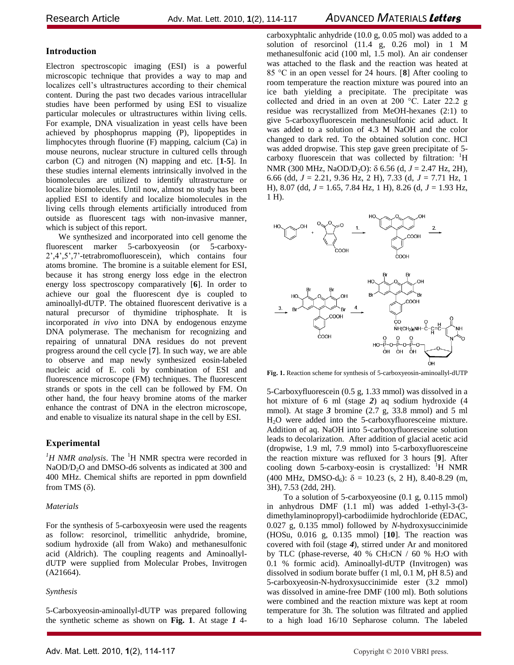## Research ArticleAdv. Mat. Lett. 2010, **1**(2), 114-117 *A*DVANCED *M*ATERIALS *Letters*

## **Introduction**

Electron spectroscopic imaging (ESI) is a powerful microscopic technique that provides a way to map and localizes cell's ultrastructures according to their chemical content. During the past two decades various intracellular studies have been performed by using ESI to visualize particular molecules or ultrastructures within living cells. For example, DNA visualization in yeast cells have been achieved by phosphoprus mapping (P), lipopeptides in limphocytes through fluorine (F) mapping, calcium (Ca) in mouse neurons, nuclear structure in cultured cells through carbon (C) and nitrogen (N) mapping and etc. [**1-5**]. In these studies internal elements intrinsically involved in the biomolecules are utilized to identify ultrastructure or localize biomolecules. Until now, almost no study has been applied ESI to identify and localize biomolecules in the living cells through elements artificially introduced from outside as fluorescent tags with non-invasive manner, which is subject of this report.

We synthesized and incorporated into cell genome the fluorescent marker 5-carboxyeosin (or 5-carboxy-2',4',5',7'-tetrabromofluorescein), which contains four atoms bromine. The bromine is a suitable element for ESI, because it has strong energy loss edge in the electron energy loss spectroscopy comparatively [**6**]. In order to achieve our goal the fluorescent dye is coupled to aminoallyl-dUTP. The obtained fluorescent derivative is a natural precursor of thymidine triphosphate. It is incorporated *in vivo* into DNA by endogenous enzyme DNA polymerase. The mechanism for recognizing and repairing of unnatural DNA residues do not prevent progress around the cell cycle [**7**]. In such way, we are able to observe and map newly synthesized eosin-labeled nucleic acid of E. coli by combination of ESI and fluorescence microscope (FM) techniques. The fluorescent strands or spots in the cell can be followed by FM. On other hand, the four heavy bromine atoms of the marker enhance the contrast of DNA in the electron microscope, and enable to visualize its natural shape in the cell by ESI.

### **Experimental**

 ${}^{1}H$  NMR analysis. The  ${}^{1}H$  NMR spectra were recorded in NaOD/D<sub>2</sub>O and DMSO-d6 solvents as indicated at 300 and 400 MHz. Chemical shifts are reported in ppm downfield from TMS  $(\delta)$ .

### *Materials*

For the synthesis of 5-carboxyeosin were used the reagents as follow: resorcinol, trimellitic anhydride, bromine, sodium hydroxide (all from Wako) and methanesulfonic acid (Aldrich). The coupling reagents and AminoallyldUTP were supplied from Molecular Probes, Invitrogen (A21664).

#### *Synthesis*

5-Carboxyeosin-aminoallyl-dUTP was prepared following the synthetic scheme as shown on **Fig. 1**. At stage *1* 4carboxyphtalic anhydride (10.0 g, 0.05 mol) was added to a solution of resorcinol (11.4 g, 0.26 mol) in 1 M methanesulfonic acid (100 ml, 1.5 mol). An air condenser was attached to the flask and the reaction was heated at 85 °C in an open vessel for 24 hours. [**8**] After cooling to room temperature the reaction mixture was poured into an ice bath yielding a precipitate. The precipitate was collected and dried in an oven at 200 °C. Later 22.2 g residue was recrystallized from MeOH-hexanes (2:1) to give 5-carboxyfluorescein methanesulfonic acid aduct. It was added to a solution of 4.3 M NaOH and the color changed to dark red. To the obtained solution conc. HCl was added dropwise. This step gave green precipitate of 5 carboxy fluorescein that was collected by filtration: <sup>1</sup>H NMR (300 MHz, NaOD/D<sub>2</sub>O): δ 6.56 (d, *J* = 2.47 Hz, 2H), 6.66 (dd, *J* = 2.21, 9.36 Hz, 2 H), 7.33 (d, *J* = 7.71 Hz, 1 H), 8.07 (dd, *J* = 1.65, 7.84 Hz, 1 H), 8.26 (d, *J* = 1.93 Hz, 1 H).



**Fig. 1.** Reaction scheme for synthesis of 5-carboxyeosin-aminoallyl-dUTP

5-Carboxyfluorescein (0.5 g, 1.33 mmol) was dissolved in a hot mixture of 6 ml (stage *2*) aq sodium hydroxide (4 mmol). At stage *3* bromine (2.7 g, 33.8 mmol) and 5 ml H2O were added into the 5-carboxyfluoresceine mixture. Addition of aq. NaOH into 5-carboxyfluoresceine solution leads to decolarization. After addition of glacial acetic acid (dropwise, 1.9 ml, 7.9 mmol) into 5-carboxyfluoresceine the reaction mixture was refluxed for 3 hours [**9**]. After cooling down 5-carboxy-eosin is crystallized:  $\overline{H}$  NMR  $(400 \text{ MHz}, \text{ DMSO-d}_6)$ :  $\delta = 10.23$  (s, 2 H), 8.40-8.29 (m, 3H), 7.53 (2dd, 2H).

To a solution of 5-carboxyeosine (0.1 g, 0.115 mmol) in anhydrous DMF (1.1 ml) was added 1-ethyl-3-(3 dimethylaminopropyl)-carbodiimide hydrochloride (EDAC, 0.027 g, 0.135 mmol) followed by *N*-hydroxysuccinimide (HOSu, 0.016 g, 0.135 mmol) [**10**]. The reaction was covered with foil (stage *4*), stirred under Ar and monitored by TLC (phase-reverse, 40 % CH3CN / 60 % H2O with 0.1 % formic acid). Aminoallyl-dUTP (Invitrogen) was dissolved in sodium borate buffer (1 ml, 0.1 M, pH 8.5) and 5-carboxyeosin-N-hydroxysuccinimide ester (3.2 mmol) was dissolved in amine-free DMF (100 ml). Both solutions were combined and the reaction mixture was kept at room temperature for 3h. The solution was filtrated and applied to a high load 16/10 Sepharose column. The labeled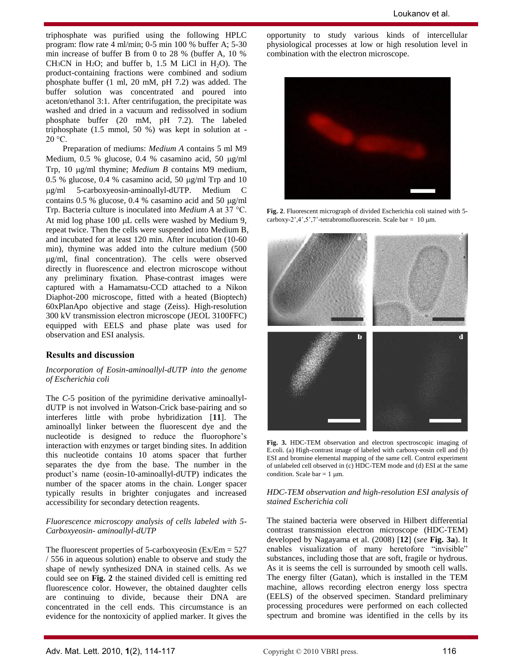triphosphate was purified using the following HPLC program: flow rate 4 ml/min; 0-5 min 100 % buffer A; 5-30 min increase of buffer B from 0 to 28 % (buffer A, 10 % CH<sub>3</sub>CN in H<sub>2</sub>O; and buffer b, 1.5 M LiCl in H<sub>2</sub>O). The product-containing fractions were combined and sodium phosphate buffer (1 ml, 20 mM, pH 7.2) was added. The buffer solution was concentrated and poured into aceton/ethanol 3:1. After centrifugation, the precipitate was washed and dried in a vacuum and redissolved in sodium phosphate buffer (20 mM, pH 7.2). The labeled triphosphate (1.5 mmol, 50 %) was kept in solution at -  $20^{\circ}$ °C.

Preparation of mediums: *Medium A* contains 5 ml M9 Medium,  $0.5\%$  glucose,  $0.4\%$  casamino acid,  $50\ \mu g/ml$ Trp, 10  $\mu$ g/ml thymine; *Medium B* contains M9 medium, 0.5 % glucose, 0.4 % casamino acid, 50  $\mu$ g/ml Trp and 10 g/ml 5-carboxyeosin-aminoallyl-dUTP. Medium C contains  $0.5 %$  glucose,  $0.4 %$  casamino acid and  $50 \mu g/ml$ Trp. Bacteria culture is inoculated into *Medium A* at 37 °C. At mid log phase  $100 \mu L$  cells were washed by Medium 9, repeat twice. Then the cells were suspended into Medium B, and incubated for at least 120 min. After incubation (10-60 min), thymine was added into the culture medium (500 g/ml, final concentration). The cells were observed directly in fluorescence and electron microscope without any preliminary fixation. Phase-contrast images were captured with a Hamamatsu-CCD attached to a Nikon Diaphot-200 microscope, fitted with a heated (Bioptech) 60xPlanApo objective and stage (Zeiss). High-resolution 300 kV transmission electron microscope (JEOL 3100FFC) equipped with EELS and phase plate was used for observation and ESI analysis.

### **Results and discussion**

#### *Incorporation of Eosin-aminoallyl-dUTP into the genome of Escherichia coli*

The *C*-5 position of the pyrimidine derivative aminoallyldUTP is not involved in Watson-Crick base-pairing and so interferes little with probe hybridization [**11**]. The aminoallyl linker between the fluorescent dye and the nucleotide is designed to reduce the fluorophore's interaction with enzymes or target binding sites. In addition this nucleotide contains 10 atoms spacer that further separates the dye from the base. The number in the product's name (eosin-10-aminoallyl-dUTP) indicates the number of the spacer atoms in the chain. Longer spacer typically results in brighter conjugates and increased accessibility for secondary detection reagents.

#### *Fluorescence microscopy analysis of cells labeled with 5- Carboxyeosin- aminoallyl-dUTP*

The fluorescent properties of 5-carboxyeosin ( $Ex/Em = 527$ ) / 556 in aqueous solution) enable to observe and study the shape of newly synthesized DNA in stained cells. As we could see on **Fig. 2** the stained divided cell is emitting red fluorescence color. However, the obtained daughter cells are continuing to divide, because their DNA are concentrated in the cell ends. This circumstance is an evidence for the nontoxicity of applied marker. It gives the

opportunity to study various kinds of intercellular physiological processes at low or high resolution level in combination with the electron microscope.



**Fig. 2**. Fluorescent micrograph of divided Escherichia coli stained with 5 carboxy-2',4',5',7'-tetrabromofluorescein. Scale bar =  $10 \mu m$ .



**Fig. 3.** HDC-TEM observation and electron spectroscopic imaging of E.coli. (a) High-contrast image of labeled with carboxy-eosin cell and (b) ESI and bromine elemental mapping of the same cell. Control experiment of unlabeled cell observed in (c) HDC-TEM mode and (d) ESI at the same condition. Scale bar =  $1 \mu m$ .

#### *HDC-TEM observation and high-resolution ESI analysis of stained Escherichia coli*

The stained bacteria were observed in Hilbert differential contrast transmission electron microscope (HDC-TEM) developed by Nagayama et al. (2008) [**12**] (*see* **Fig. 3a**). It enables visualization of many heretofore "invisible" substances, including those that are soft, fragile or hydrous. As it is seems the cell is surrounded by smooth cell walls. The energy filter (Gatan), which is installed in the TEM machine, allows recording electron energy loss spectra (EELS) of the observed specimen. Standard preliminary processing procedures were performed on each collected spectrum and bromine was identified in the cells by its